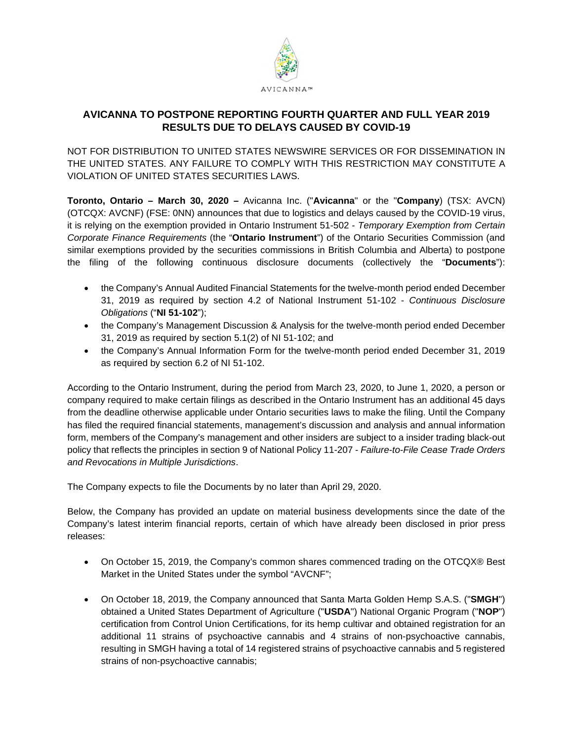

## **AVICANNA TO POSTPONE REPORTING FOURTH QUARTER AND FULL YEAR 2019 RESULTS DUE TO DELAYS CAUSED BY COVID-19**

NOT FOR DISTRIBUTION TO UNITED STATES NEWSWIRE SERVICES OR FOR DISSEMINATION IN THE UNITED STATES. ANY FAILURE TO COMPLY WITH THIS RESTRICTION MAY CONSTITUTE A VIOLATION OF UNITED STATES SECURITIES LAWS.

**Toronto, Ontario – March 30, 2020 –** Avicanna Inc. ("**Avicanna**" or the "**Company**) (TSX: AVCN) (OTCQX: AVCNF) (FSE: 0NN) announces that due to logistics and delays caused by the COVID-19 virus, it is relying on the exemption provided in Ontario Instrument 51-502 - *Temporary Exemption from Certain Corporate Finance Requirements* (the "**Ontario Instrument**") of the Ontario Securities Commission (and similar exemptions provided by the securities commissions in British Columbia and Alberta) to postpone the filing of the following continuous disclosure documents (collectively the "**Documents**"):

- the Company's Annual Audited Financial Statements for the twelve-month period ended December 31, 2019 as required by section 4.2 of National Instrument 51-102 - *Continuous Disclosure Obligations* ("**NI 51-102**");
- the Company's Management Discussion & Analysis for the twelve-month period ended December 31, 2019 as required by section 5.1(2) of NI 51-102; and
- the Company's Annual Information Form for the twelve-month period ended December 31, 2019 as required by section 6.2 of NI 51-102.

According to the Ontario Instrument, during the period from March 23, 2020, to June 1, 2020, a person or company required to make certain filings as described in the Ontario Instrument has an additional 45 days from the deadline otherwise applicable under Ontario securities laws to make the filing. Until the Company has filed the required financial statements, management's discussion and analysis and annual information form, members of the Company's management and other insiders are subject to a insider trading black-out policy that reflects the principles in section 9 of National Policy 11-207 - *Failure-to-File Cease Trade Orders and Revocations in Multiple Jurisdictions*.

The Company expects to file the Documents by no later than April 29, 2020.

Below, the Company has provided an update on material business developments since the date of the Company's latest interim financial reports, certain of which have already been disclosed in prior press releases:

- On October 15, 2019, the Company's common shares commenced trading on the OTCQX® Best Market in the United States under the symbol "AVCNF";
- On October 18, 2019, the Company announced that Santa Marta Golden Hemp S.A.S. ("**SMGH**") obtained a United States Department of Agriculture ("**USDA**") National Organic Program ("**NOP**") certification from Control Union Certifications, for its hemp cultivar and obtained registration for an additional 11 strains of psychoactive cannabis and 4 strains of non-psychoactive cannabis, resulting in SMGH having a total of 14 registered strains of psychoactive cannabis and 5 registered strains of non-psychoactive cannabis;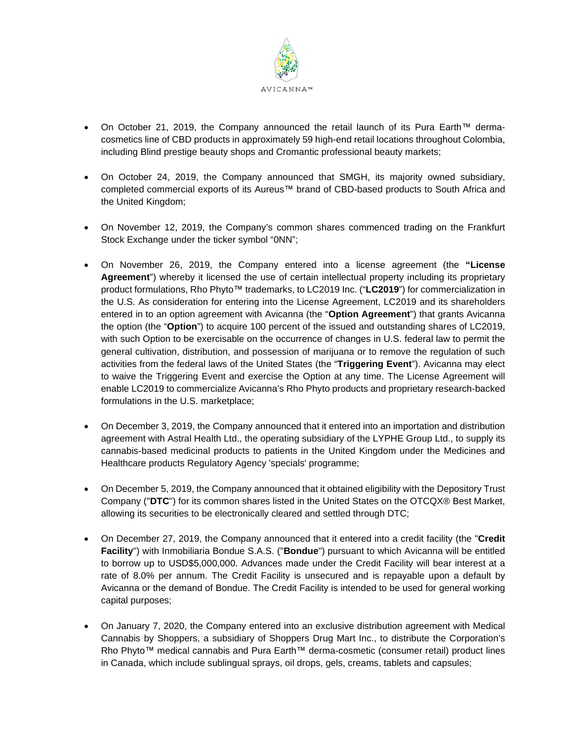

- On October 21, 2019, the Company announced the retail launch of its Pura Earth™ dermacosmetics line of CBD products in approximately 59 high-end retail locations throughout Colombia, including Blind prestige beauty shops and Cromantic professional beauty markets;
- On October 24, 2019, the Company announced that SMGH, its majority owned subsidiary, completed commercial exports of its Aureus™ brand of CBD-based products to South Africa and the United Kingdom;
- On November 12, 2019, the Company's common shares commenced trading on the Frankfurt Stock Exchange under the ticker symbol "0NN";
- On November 26, 2019, the Company entered into a license agreement (the **"License Agreement**") whereby it licensed the use of certain intellectual property including its proprietary product formulations, Rho Phyto™ trademarks, to LC2019 Inc. ("**LC2019**") for commercialization in the U.S. As consideration for entering into the License Agreement, LC2019 and its shareholders entered in to an option agreement with Avicanna (the "**Option Agreement**") that grants Avicanna the option (the "**Option**") to acquire 100 percent of the issued and outstanding shares of LC2019, with such Option to be exercisable on the occurrence of changes in U.S. federal law to permit the general cultivation, distribution, and possession of marijuana or to remove the regulation of such activities from the federal laws of the United States (the "**Triggering Event**"). Avicanna may elect to waive the Triggering Event and exercise the Option at any time. The License Agreement will enable LC2019 to commercialize Avicanna's Rho Phyto products and proprietary research-backed formulations in the U.S. marketplace;
- On December 3, 2019, the Company announced that it entered into an importation and distribution agreement with Astral Health Ltd., the operating subsidiary of the LYPHE Group Ltd., to supply its cannabis-based medicinal products to patients in the United Kingdom under the Medicines and Healthcare products Regulatory Agency 'specials' programme;
- On December 5, 2019, the Company announced that it obtained eligibility with the Depository Trust Company ("**DTC**") for its common shares listed in the United States on the OTCQX® Best Market, allowing its securities to be electronically cleared and settled through DTC;
- On December 27, 2019, the Company announced that it entered into a credit facility (the "**Credit Facility**") with Inmobiliaria Bondue S.A.S. ("**Bondue**") pursuant to which Avicanna will be entitled to borrow up to USD\$5,000,000. Advances made under the Credit Facility will bear interest at a rate of 8.0% per annum. The Credit Facility is unsecured and is repayable upon a default by Avicanna or the demand of Bondue. The Credit Facility is intended to be used for general working capital purposes;
- On January 7, 2020, the Company entered into an exclusive distribution agreement with Medical Cannabis by Shoppers, a subsidiary of Shoppers Drug Mart Inc., to distribute the Corporation's Rho Phyto™ medical cannabis and Pura Earth™ derma-cosmetic (consumer retail) product lines in Canada, which include sublingual sprays, oil drops, gels, creams, tablets and capsules;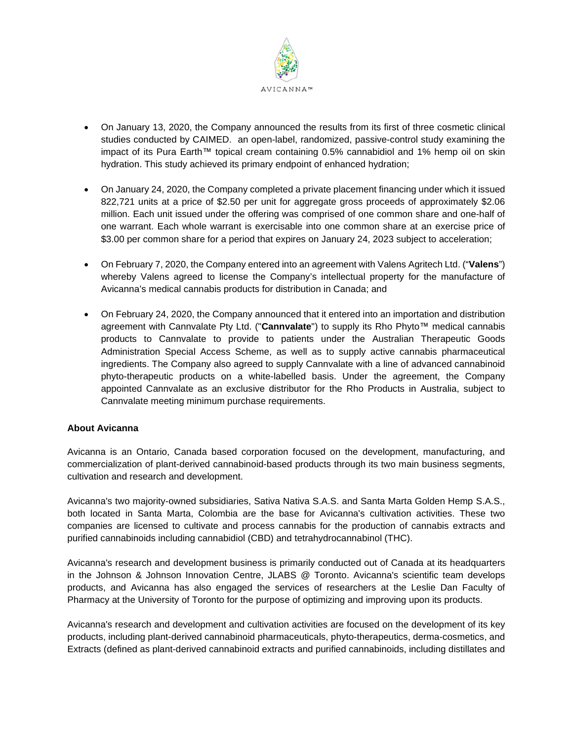

- On January 13, 2020, the Company announced the results from its first of three cosmetic clinical studies conducted by CAIMED. an open-label, randomized, passive-control study examining the impact of its Pura Earth™ topical cream containing 0.5% cannabidiol and 1% hemp oil on skin hydration. This study achieved its primary endpoint of enhanced hydration;
- On January 24, 2020, the Company completed a private placement financing under which it issued 822,721 units at a price of \$2.50 per unit for aggregate gross proceeds of approximately \$2.06 million. Each unit issued under the offering was comprised of one common share and one-half of one warrant. Each whole warrant is exercisable into one common share at an exercise price of \$3.00 per common share for a period that expires on January 24, 2023 subject to acceleration;
- On February 7, 2020, the Company entered into an agreement with Valens Agritech Ltd. ("**Valens**") whereby Valens agreed to license the Company's intellectual property for the manufacture of Avicanna's medical cannabis products for distribution in Canada; and
- On February 24, 2020, the Company announced that it entered into an importation and distribution agreement with Cannvalate Pty Ltd. ("**Cannvalate**") to supply its Rho Phyto™ medical cannabis products to Cannvalate to provide to patients under the Australian Therapeutic Goods Administration Special Access Scheme, as well as to supply active cannabis pharmaceutical ingredients. The Company also agreed to supply Cannvalate with a line of advanced cannabinoid phyto-therapeutic products on a white-labelled basis. Under the agreement, the Company appointed Cannvalate as an exclusive distributor for the Rho Products in Australia, subject to Cannvalate meeting minimum purchase requirements.

## **About Avicanna**

Avicanna is an Ontario, Canada based corporation focused on the development, manufacturing, and commercialization of plant-derived cannabinoid-based products through its two main business segments, cultivation and research and development.

Avicanna's two majority-owned subsidiaries, Sativa Nativa S.A.S. and Santa Marta Golden Hemp S.A.S., both located in Santa Marta, Colombia are the base for Avicanna's cultivation activities. These two companies are licensed to cultivate and process cannabis for the production of cannabis extracts and purified cannabinoids including cannabidiol (CBD) and tetrahydrocannabinol (THC).

Avicanna's research and development business is primarily conducted out of Canada at its headquarters in the Johnson & Johnson Innovation Centre, JLABS @ Toronto. Avicanna's scientific team develops products, and Avicanna has also engaged the services of researchers at the Leslie Dan Faculty of Pharmacy at the University of Toronto for the purpose of optimizing and improving upon its products.

Avicanna's research and development and cultivation activities are focused on the development of its key products, including plant-derived cannabinoid pharmaceuticals, phyto-therapeutics, derma-cosmetics, and Extracts (defined as plant-derived cannabinoid extracts and purified cannabinoids, including distillates and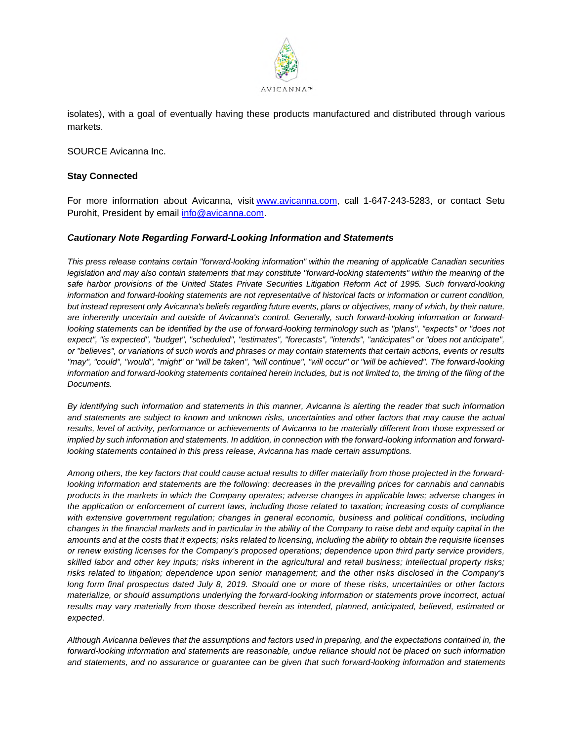

isolates), with a goal of eventually having these products manufactured and distributed through various markets.

SOURCE Avicanna Inc.

## **Stay Connected**

For more information about Avicanna, visit www.avicanna.com, call 1-647-243-5283, or contact Setu Purohit, President by email info@avicanna.com.

## *Cautionary Note Regarding Forward-Looking Information and Statements*

*This press release contains certain "forward-looking information" within the meaning of applicable Canadian securities*  legislation and may also contain statements that may constitute "forward-looking statements" within the meaning of the safe harbor provisions of the United States Private Securities Litigation Reform Act of 1995. Such forward-looking *information and forward-looking statements are not representative of historical facts or information or current condition, but instead represent only Avicanna's beliefs regarding future events, plans or objectives, many of which, by their nature, are inherently uncertain and outside of Avicanna's control. Generally, such forward-looking information or forward*looking statements can be identified by the use of forward-looking terminology such as "plans", "expects" or "does not *expect", "is expected", "budget", "scheduled", "estimates", "forecasts", "intends", "anticipates" or "does not anticipate", or "believes", or variations of such words and phrases or may contain statements that certain actions, events or results "may", "could", "would", "might" or "will be taken", "will continue", "will occur" or "will be achieved". The forward-looking*  information and forward-looking statements contained herein includes, but is not limited to, the timing of the filing of the *Documents.* 

*By identifying such information and statements in this manner, Avicanna is alerting the reader that such information and statements are subject to known and unknown risks, uncertainties and other factors that may cause the actual results, level of activity, performance or achievements of Avicanna to be materially different from those expressed or implied by such information and statements. In addition, in connection with the forward-looking information and forwardlooking statements contained in this press release, Avicanna has made certain assumptions.* 

*Among others, the key factors that could cause actual results to differ materially from those projected in the forwardlooking information and statements are the following: decreases in the prevailing prices for cannabis and cannabis products in the markets in which the Company operates; adverse changes in applicable laws; adverse changes in the application or enforcement of current laws, including those related to taxation; increasing costs of compliance*  with extensive government regulation; changes in general economic, business and political conditions, including *changes in the financial markets and in particular in the ability of the Company to raise debt and equity capital in the amounts and at the costs that it expects; risks related to licensing, including the ability to obtain the requisite licenses or renew existing licenses for the Company's proposed operations; dependence upon third party service providers, skilled labor and other key inputs; risks inherent in the agricultural and retail business; intellectual property risks; risks related to litigation; dependence upon senior management; and the other risks disclosed in the Company's long form final prospectus dated July 8, 2019. Should one or more of these risks, uncertainties or other factors materialize, or should assumptions underlying the forward-looking information or statements prove incorrect, actual results may vary materially from those described herein as intended, planned, anticipated, believed, estimated or expected.* 

*Although Avicanna believes that the assumptions and factors used in preparing, and the expectations contained in, the*  forward-looking information and statements are reasonable, undue reliance should not be placed on such information *and statements, and no assurance or guarantee can be given that such forward-looking information and statements*